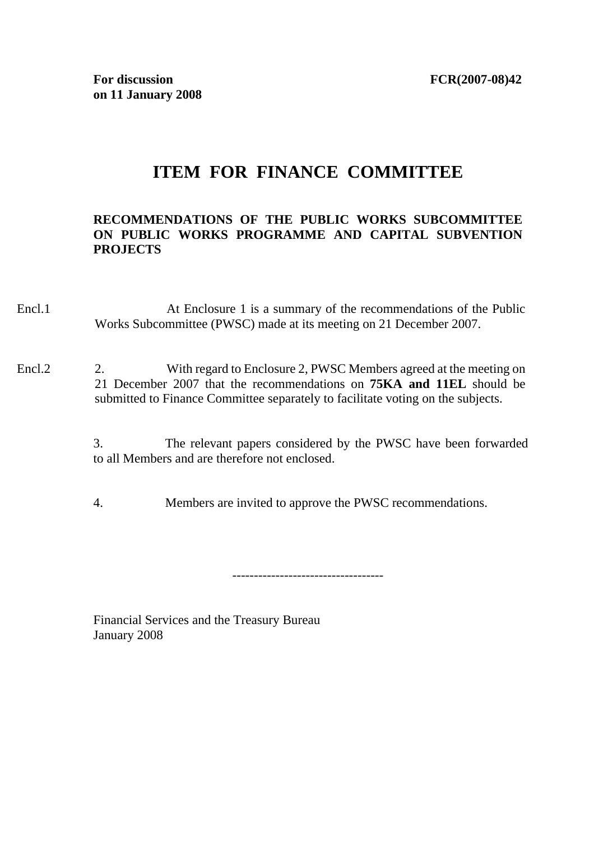# **ITEM FOR FINANCE COMMITTEE**

### **RECOMMENDATIONS OF THE PUBLIC WORKS SUBCOMMITTEE ON PUBLIC WORKS PROGRAMME AND CAPITAL SUBVENTION PROJECTS**

- Encl.1 At Enclosure 1 is a summary of the recommendations of the Public Works Subcommittee (PWSC) made at its meeting on 21 December 2007.
- Encl.2 2. With regard to Enclosure 2, PWSC Members agreed at the meeting on 21 December 2007 that the recommendations on **75KA and 11EL** should be submitted to Finance Committee separately to facilitate voting on the subjects.

3. The relevant papers considered by the PWSC have been forwarded to all Members and are therefore not enclosed.

4. Members are invited to approve the PWSC recommendations.

-----------------------------------

Financial Services and the Treasury Bureau January 2008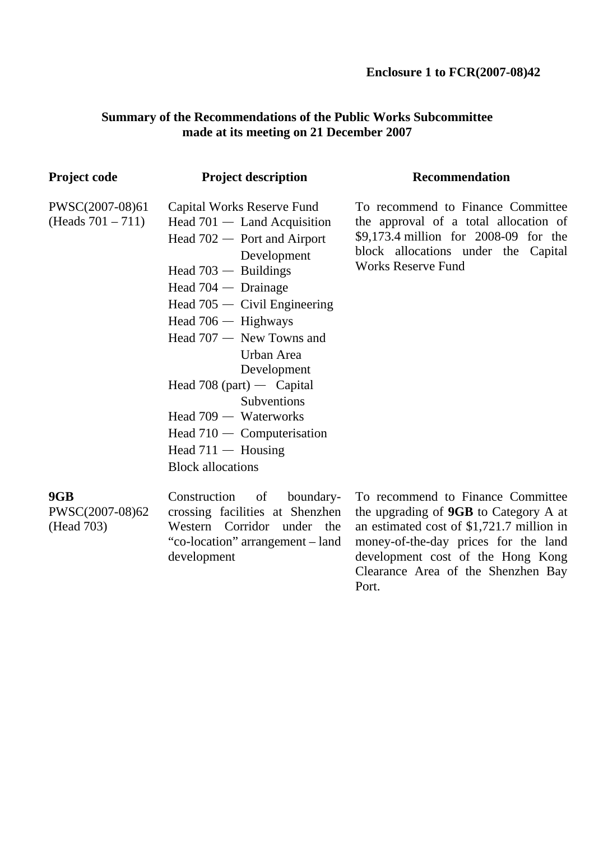development cost of the Hong Kong Clearance Area of the Shenzhen Bay

Port.

## **Summary of the Recommendations of the Public Works Subcommittee made at its meeting on 21 December 2007**

| Project code                            | <b>Project description</b>                                                                                                                                                                                                                                                                                                                                                                                                                      | <b>Recommendation</b>                                                                                                                                                                                       |
|-----------------------------------------|-------------------------------------------------------------------------------------------------------------------------------------------------------------------------------------------------------------------------------------------------------------------------------------------------------------------------------------------------------------------------------------------------------------------------------------------------|-------------------------------------------------------------------------------------------------------------------------------------------------------------------------------------------------------------|
| PWSC(2007-08)61<br>(Heads $701 - 711$ ) | Capital Works Reserve Fund<br>Head $701 -$ Land Acquisition<br>Head $702 -$ Port and Airport<br>Development<br>Head $703 -$ Buildings<br>Head $704 -$ Drainage<br>Head $705 -$ Civil Engineering<br>Head $706 -$ Highways<br>Head $707 -$ New Towns and<br>Urban Area<br>Development<br>Head 708 (part) — Capital<br>Subventions<br>Head $709 -$ Waterworks<br>Head $710 -$ Computerisation<br>Head $711 -$ Housing<br><b>Block allocations</b> | To recommend to Finance Committee<br>the approval of a total allocation of<br>\$9,173.4 million for 2008-09 for the<br>block allocations under the Capital<br><b>Works Reserve Fund</b>                     |
| 9GB<br>PWSC(2007-08)62<br>(Head 703)    | Construction<br>of<br>boundary-<br>crossing facilities at Shenzhen<br>Western Corridor under the<br>"co-location" arrangement – land<br>development                                                                                                                                                                                                                                                                                             | To recommend to Finance Committee<br>the upgrading of <b>9GB</b> to Category A at<br>an estimated cost of \$1,721.7 million in<br>money-of-the-day prices for the land<br>development cost of the Hong Kong |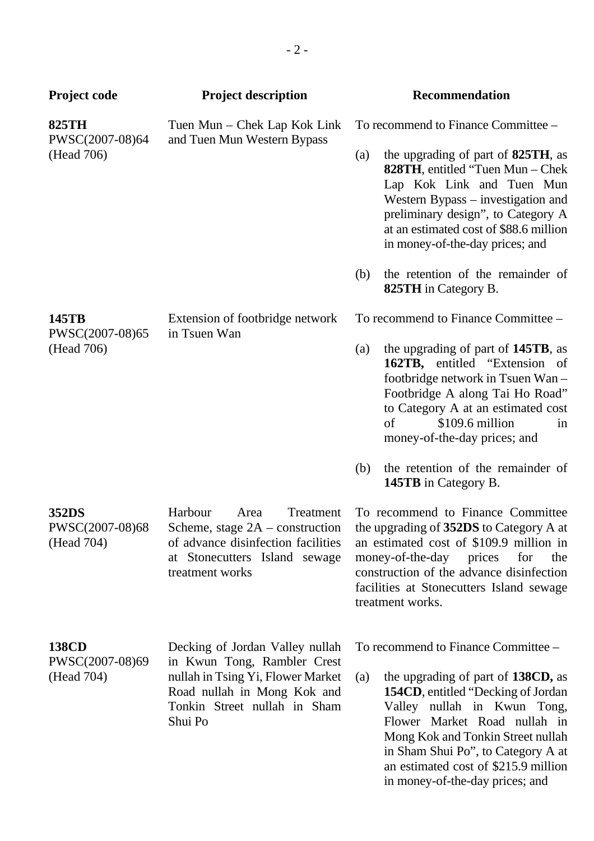| <b>Project code</b>                           | <b>Project description</b>                                                                                                                 | <b>Recommendation</b>                                                                                                                                                                                                                                                                                                              |
|-----------------------------------------------|--------------------------------------------------------------------------------------------------------------------------------------------|------------------------------------------------------------------------------------------------------------------------------------------------------------------------------------------------------------------------------------------------------------------------------------------------------------------------------------|
| <b>825TH</b><br>PWSC(2007-08)64<br>(Head 706) | Tuen Mun – Chek Lap Kok Link<br>and Tuen Mun Western Bypass                                                                                | To recommend to Finance Committee –                                                                                                                                                                                                                                                                                                |
|                                               |                                                                                                                                            | the upgrading of part of 825TH, as<br>(a)<br><b>828TH</b> , entitled "Tuen Mun – Chek<br>Lap Kok Link and Tuen Mun<br>Western Bypass – investigation and<br>preliminary design", to Category A<br>at an estimated cost of \$88.6 million<br>in money-of-the-day prices; and                                                        |
|                                               |                                                                                                                                            | the retention of the remainder of<br>(b)<br>825TH in Category B.                                                                                                                                                                                                                                                                   |
| 145TB<br>PWSC(2007-08)65                      | Extension of footbridge network<br>in Tsuen Wan                                                                                            | To recommend to Finance Committee –                                                                                                                                                                                                                                                                                                |
| (Head 706)                                    |                                                                                                                                            | the upgrading of part of 145TB, as<br>(a)<br>162TB, entitled "Extension of<br>footbridge network in Tsuen Wan -<br>Footbridge A along Tai Ho Road"<br>to Category A at an estimated cost<br>\$109.6 million<br>of<br>in<br>money-of-the-day prices; and<br>the retention of the remainder of<br>(b)<br><b>145TB</b> in Category B. |
| 352DS                                         | Harbour<br>Area<br>Treatment                                                                                                               | To recommend to Finance Committee                                                                                                                                                                                                                                                                                                  |
| PWSC(2007-08)68<br>(Head 704)                 | of advance disinfection facilities<br>at Stonecutters Island sewage<br>treatment works                                                     | Scheme, stage $2A$ – construction the upgrading of 352DS to Category A at<br>an estimated cost of \$109.9 million in<br>money-of-the-day prices<br>for<br>the<br>construction of the advance disinfection<br>facilities at Stonecutters Island sewage<br>treatment works.                                                          |
| <b>138CD</b>                                  | Decking of Jordan Valley nullah                                                                                                            | To recommend to Finance Committee –                                                                                                                                                                                                                                                                                                |
| PWSC(2007-08)69<br>(Head 704)                 | in Kwun Tong, Rambler Crest<br>nullah in Tsing Yi, Flower Market<br>Road nullah in Mong Kok and<br>Tonkin Street nullah in Sham<br>Shui Po | the upgrading of part of 138CD, as<br>(a)<br><b>154CD</b> , entitled "Decking of Jordan"<br>Valley nullah in Kwun Tong,<br>Flower Market Road nullah in<br>Mong Kok and Tonkin Street nullah<br>in Sham Shui Po", to Category A at<br>an estimated cost of \$215.9 million                                                         |

in money-of-the-day prices; and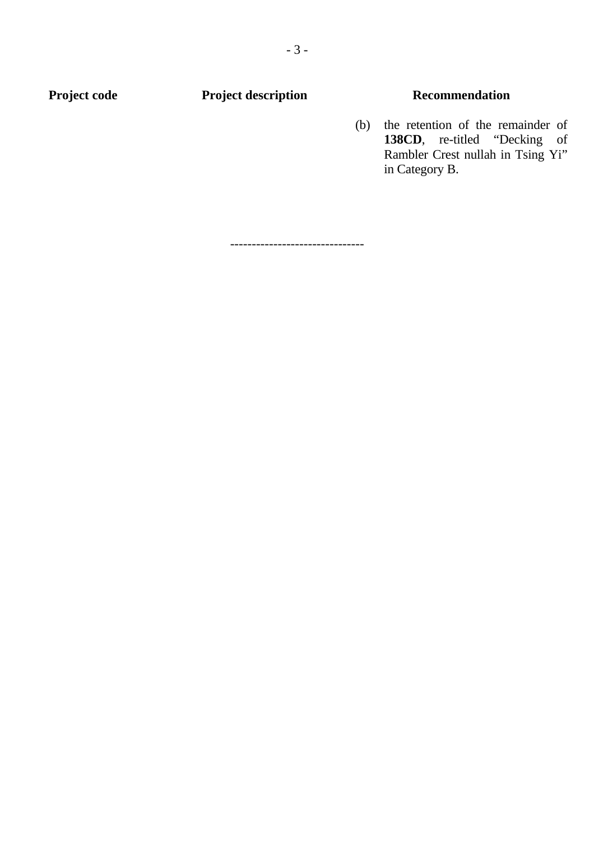## **Project code Project description Recommendation**

(b) the retention of the remainder of **138CD**, re-titled "Decking of Rambler Crest nullah in Tsing Yi" in Category B.

-------------------------------